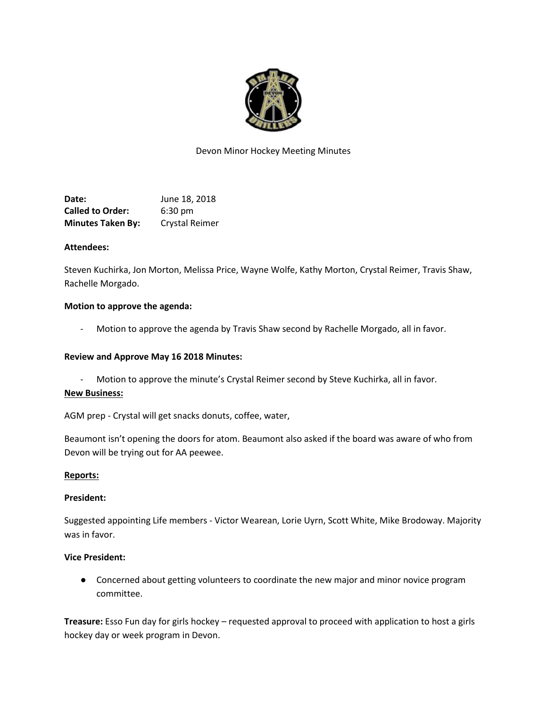

# Devon Minor Hockey Meeting Minutes

**Date:** June 18, 2018 **Called to Order:** 6:30 pm **Minutes Taken By:** Crystal Reimer

### **Attendees:**

Steven Kuchirka, Jon Morton, Melissa Price, Wayne Wolfe, Kathy Morton, Crystal Reimer, Travis Shaw, Rachelle Morgado.

### **Motion to approve the agenda:**

Motion to approve the agenda by Travis Shaw second by Rachelle Morgado, all in favor.

### **Review and Approve May 16 2018 Minutes:**

Motion to approve the minute's Crystal Reimer second by Steve Kuchirka, all in favor.

## **New Business:**

AGM prep - Crystal will get snacks donuts, coffee, water,

Beaumont isn't opening the doors for atom. Beaumont also asked if the board was aware of who from Devon will be trying out for AA peewee.

#### **Reports:**

## **President:**

Suggested appointing Life members - Victor Wearean, Lorie Uyrn, Scott White, Mike Brodoway. Majority was in favor.

## **Vice President:**

● Concerned about getting volunteers to coordinate the new major and minor novice program committee.

**Treasure:** Esso Fun day for girls hockey – requested approval to proceed with application to host a girls hockey day or week program in Devon.